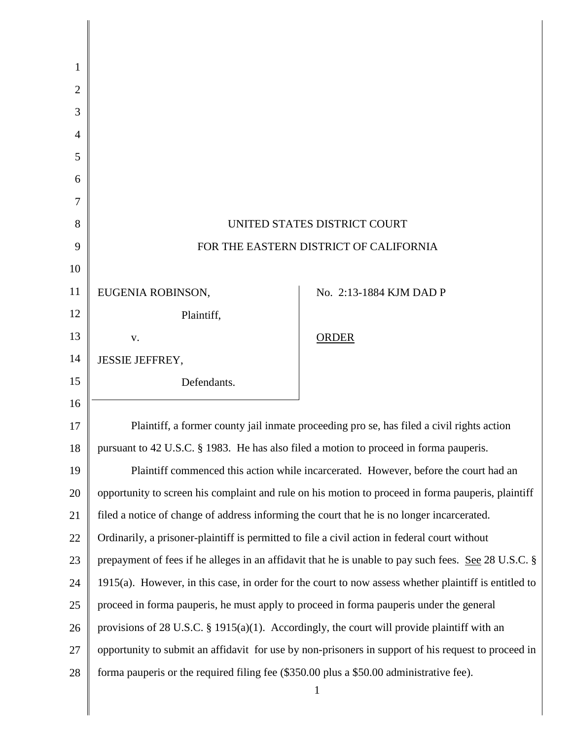| 1              |                                                                                                       |                         |
|----------------|-------------------------------------------------------------------------------------------------------|-------------------------|
| $\overline{2}$ |                                                                                                       |                         |
| 3              |                                                                                                       |                         |
| $\overline{4}$ |                                                                                                       |                         |
| 5              |                                                                                                       |                         |
| 6              |                                                                                                       |                         |
| 7              |                                                                                                       |                         |
| 8              | UNITED STATES DISTRICT COURT                                                                          |                         |
| 9              | FOR THE EASTERN DISTRICT OF CALIFORNIA                                                                |                         |
| 10             |                                                                                                       |                         |
| 11             | EUGENIA ROBINSON,                                                                                     | No. 2:13-1884 KJM DAD P |
| 12             | Plaintiff,                                                                                            |                         |
| 13             | V.                                                                                                    | <b>ORDER</b>            |
| 14             | JESSIE JEFFREY,                                                                                       |                         |
| 15             | Defendants.                                                                                           |                         |
| 16             |                                                                                                       |                         |
| 17             | Plaintiff, a former county jail inmate proceeding pro se, has filed a civil rights action             |                         |
| 18             | pursuant to 42 U.S.C. § 1983. He has also filed a motion to proceed in forma pauperis.                |                         |
| 19             | Plaintiff commenced this action while incarcerated. However, before the court had an                  |                         |
| 20             | opportunity to screen his complaint and rule on his motion to proceed in forma pauperis, plaintiff    |                         |
| 21             | filed a notice of change of address informing the court that he is no longer incarcerated.            |                         |
| 22             | Ordinarily, a prisoner-plaintiff is permitted to file a civil action in federal court without         |                         |
| 23             | prepayment of fees if he alleges in an affidavit that he is unable to pay such fees. See 28 U.S.C. §  |                         |
| 24             | 1915(a). However, in this case, in order for the court to now assess whether plaintiff is entitled to |                         |
| 25             | proceed in forma pauperis, he must apply to proceed in forma pauperis under the general               |                         |
| 26             | provisions of 28 U.S.C. $\S$ 1915(a)(1). Accordingly, the court will provide plaintiff with an        |                         |
| 27             | opportunity to submit an affidavit for use by non-prisoners in support of his request to proceed in   |                         |
| 28             | forma pauperis or the required filing fee (\$350.00 plus a \$50.00 administrative fee).               |                         |
|                |                                                                                                       | 1                       |

║